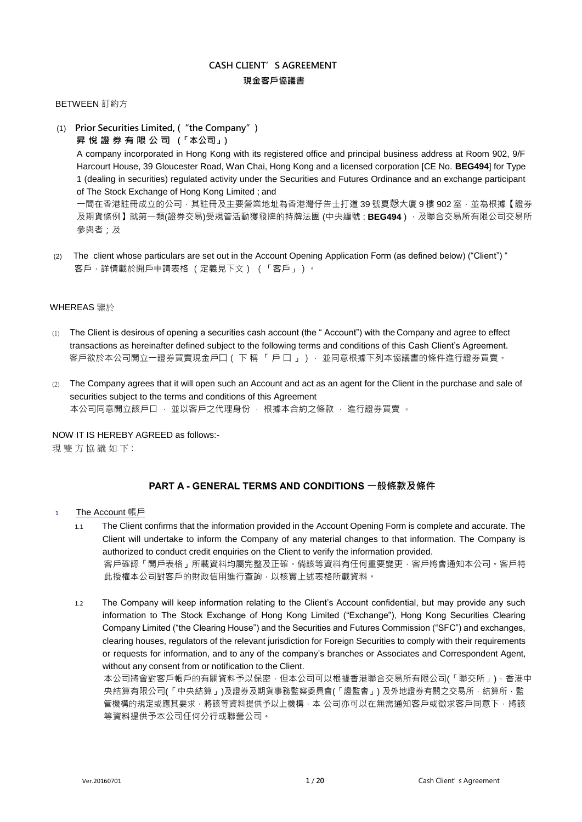# **CASH CLIENT' S AGREEMENT 現金客戶協議書**

## BETWEEN 訂約方

(1) **Prior Securities Limited, ("the Company")**

**昇 悅 證 券 有 限 公 司 (「本公司」)**

A company incorporated in Hong Kong with its registered office and principal business address at Room 902, 9/F Harcourt House, 39 Gloucester Road, Wan Chai, Hong Kong and a licensed corporation [CE No. **BEG494**] for Type 1 (dealing in securities) regulated activity under the Securities and Futures Ordinance and an exchange participant of The Stock Exchange of Hong Kong Limited ; and

一間在香港註冊成立的公司,其註冊及主要營業地址為香港灣仔告士打道 39 號夏慤大廈 9 樓 902 室,並為根據【證券 及期貨條例】就第一類(證券交易)受規管活動獲發牌的持牌法團 (中央編號 : **BEG494** ) · 及聯合交易所有限公司交易所 參與者;及

 (2) The client whose particulars are set out in the Account Opening Application Form (as defined below) ("Client") " 客戶,詳情載於開戶申請表格 (定義見下文) (「客戶」)。

## WHEREAS 鑒於

- (1) The Client is desirous of opening a securities cash account (the " Account") with the Company and agree to effect transactions as hereinafter defined subject to the following terms and conditions of this Cash Client's Agreement. 客戶欲於本公司開立一證券買賣現金戶囗( 下 稱 「 戶 囗 」) ・並同意根據下列本協議書的條件進行證券買賣。
- (2) The Company agrees that it will open such an Account and act as an agent for the Client in the purchase and sale of securities subject to the terms and conditions of this Agreement 本公司同意開立該戶口 , 並以客戶之代理身份 , 根據本合約之條款 , 進行證券買賣 。

NOW IT IS HEREBY AGREED as follows:- 現 雙 方 協 議 如 下:

## **PART A - GENERAL TERMS AND CONDITIONS 一般條款及條件**

- <sup>1</sup> The Account 帳戶
	- 1.1 The Client confirms that the information provided in the Account Opening Form is complete and accurate. The Client will undertake to inform the Company of any material changes to that information. The Company is authorized to conduct credit enquiries on the Client to verify the information provided. 客戶確認「開戶表格」所載資料均屬完整及正確。倘該等資料有任何重要變更‧客戶將會通知本公司。客戶特 此授權本公司對客戶的財政信用進行查詢,以核實上述表格所載資料。
	- 1.2 The Company will keep information relating to the Client's Account confidential, but may provide any such information to The Stock Exchange of Hong Kong Limited ("Exchange"), Hong Kong Securities Clearing Company Limited ("the Clearing House") and the Securities and Futures Commission ("SFC") and exchanges, clearing houses, regulators of the relevant jurisdiction for Foreign Securities to comply with their requirements or requests for information, and to any of the company's branches or Associates and Correspondent Agent, without any consent from or notification to the Client.

本公司將會對客戶帳戶的有關資料予以保密,但本公司可以根據香港聯合交易所有限公司(「聯交所」),香港中 央結算有限公司(「中央結算」)及證券及期貨事務監察委員會(「證監會」) 及外地證券有關之交易所,結算所,監 管機構的規定或應其要求,將該等資料提供予以上機構,本 公司亦可以在無需通知客戶或徵求客戶同意下,將該 等資料提供予本公司任何分行或聯營公司。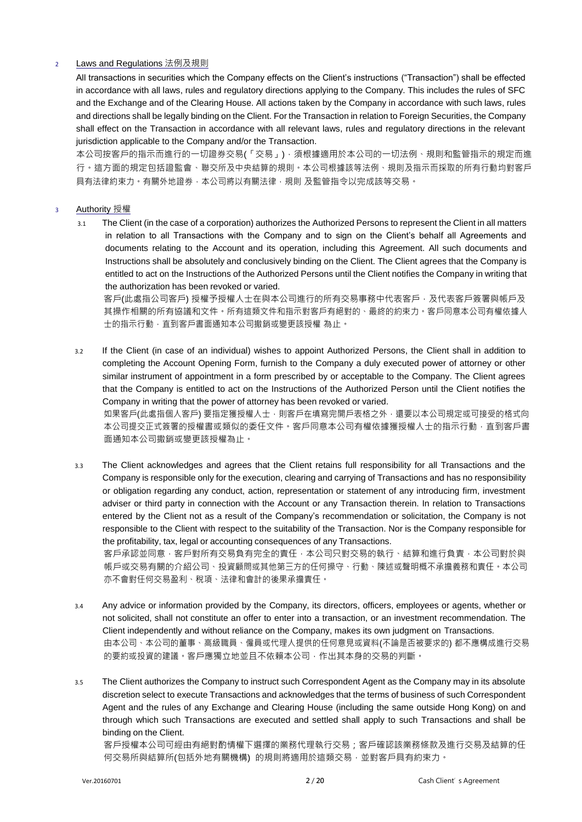## <sup>2</sup> Laws and Regulations 法例及規則

All transactions in securities which the Company effects on the Client's instructions ("Transaction") shall be effected in accordance with all laws, rules and regulatory directions applying to the Company. This includes the rules of SFC and the Exchange and of the Clearing House. All actions taken by the Company in accordance with such laws, rules and directions shall be legally binding on the Client. For the Transaction in relation to Foreign Securities, the Company shall effect on the Transaction in accordance with all relevant laws, rules and regulatory directions in the relevant jurisdiction applicable to the Company and/or the Transaction.

本公司按客戶的指示而進行的一切證券交易(「交易」),須根據適用於本公司的一切法例、規則和監管指示的規定而進 行。這方面的規定包括證監會、聯交所及中央結算的規則。本公司根據該等法例、規則及指示而採取的所有行動均對客戶 具有法律約束力。有關外地證券,本公司將以有關法律,規則 及監管指令以完成該等交易。

## <sup>3</sup> Authority 授權

3.1 The Client (in the case of a corporation) authorizes the Authorized Persons to represent the Client in all matters in relation to all Transactions with the Company and to sign on the Client's behalf all Agreements and documents relating to the Account and its operation, including this Agreement. All such documents and Instructions shall be absolutely and conclusively binding on the Client. The Client agrees that the Company is entitled to act on the Instructions of the Authorized Persons until the Client notifies the Company in writing that the authorization has been revoked or varied.

客戶(此處指公司客戶) 授權予授權人士在與本公司進行的所有交易事務中代表客戶,及代表客戶簽署與帳戶及 其操作相關的所有協議和文件。所有這類文件和指示對客戶有絕對的、最終的約束力。客戶同意本公司有權依據人 士的指示行動,直到客戶書面通知本公司撤銷或變更該授權 為止。

3.2 If the Client (in case of an individual) wishes to appoint Authorized Persons, the Client shall in addition to completing the Account Opening Form, furnish to the Company a duly executed power of attorney or other similar instrument of appointment in a form prescribed by or acceptable to the Company. The Client agrees that the Company is entitled to act on the Instructions of the Authorized Person until the Client notifies the Company in writing that the power of attorney has been revoked or varied. 如果客戶(此處指個人客戶) 要指定獲授權人士,則客戶在填寫完開戶表格之外,還要以本公司規定或可接受的格式向 本公司提交正式簽署的授權書或類似的委任文件。客戶同意本公司有權依據獲授權人士的指示行動,直到客戶書

面通知本公司撒銷或變更該授權為止。

3.3 The Client acknowledges and agrees that the Client retains full responsibility for all Transactions and the Company is responsible only for the execution, clearing and carrying of Transactions and has no responsibility or obligation regarding any conduct, action, representation or statement of any introducing firm, investment adviser or third party in connection with the Account or any Transaction therein. In relation to Transactions entered by the Client not as a result of the Company's recommendation or solicitation, the Company is not responsible to the Client with respect to the suitability of the Transaction. Nor is the Company responsible for the profitability, tax, legal or accounting consequences of any Transactions. 客戶承認並同意,客戶對所有交易負有完全的責任,本公司只對交易的執行、結算和進行負責,本公司對於與

帳戶或交易有關的介紹公司、投資顧問或其他第三方的任何操守、行動、陳述或聲明概不承擔義務和責任。本公司 亦不會對任何交易盈利、稅項、法律和會計的後果承擔責任。

- 3.4 Any advice or information provided by the Company, its directors, officers, employees or agents, whether or not solicited, shall not constitute an offer to enter into a transaction, or an investment recommendation. The Client independently and without reliance on the Company, makes its own judgment on Transactions. 由本公司、本公司的董事、高級職員、僱員或代理人提供的任何意見或資料(不論是否被要求的) 都不應構成進行交易 的要約或投資的建議。客戶應獨立地並且不依賴本公司,作出其本身的交易的判斷。
- 3.5 The Client authorizes the Company to instruct such Correspondent Agent as the Company may in its absolute discretion select to execute Transactions and acknowledges that the terms of business of such Correspondent Agent and the rules of any Exchange and Clearing House (including the same outside Hong Kong) on and through which such Transactions are executed and settled shall apply to such Transactions and shall be binding on the Client.

客戶授權本公司可經由有絕對酌情權下選擇的業務代理執行交易;客戶確認該業務條款及進行交易及結算的任 何交易所與結算所(包括外地有關機構) 的規則將適用於這類交易,並對客戶具有約束力。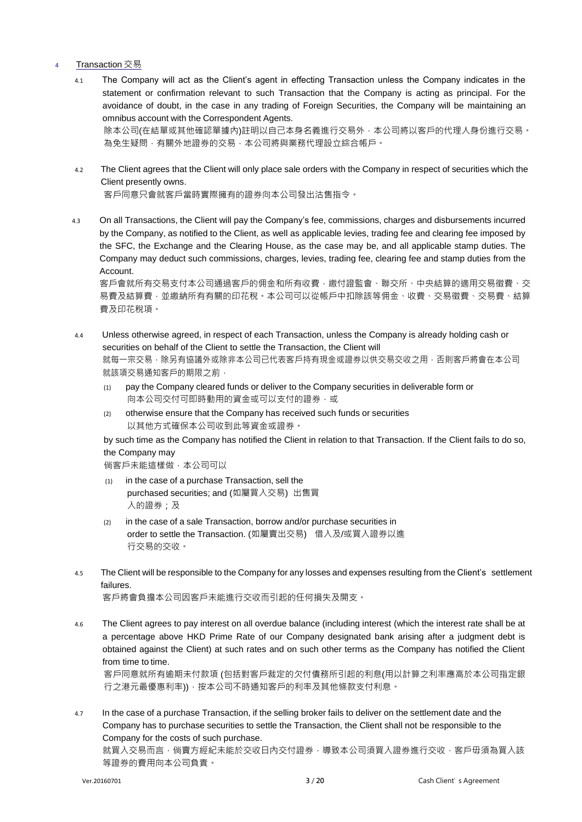#### <sup>4</sup> Transaction 交易

- 4.1 The Company will act as the Client's agent in effecting Transaction unless the Company indicates in the statement or confirmation relevant to such Transaction that the Company is acting as principal. For the avoidance of doubt, in the case in any trading of Foreign Securities, the Company will be maintaining an omnibus account with the Correspondent Agents. 除本公司(在結單或其他確認單據內)註明以自己本身名義進行交易外,本公司將以客戶的代理人身份進行交易。 為免生疑問,有關外地證券的交易,本公司將與業務代理設立綜合帳戶。
- 4.2 The Client agrees that the Client will only place sale orders with the Company in respect of securities which the Client presently owns. 客戶同意只會就客戶當時實際擁有的證券向本公司發出沽售指令。
- 4.3 On all Transactions, the Client will pay the Company's fee, commissions, charges and disbursements incurred by the Company, as notified to the Client, as well as applicable levies, trading fee and clearing fee imposed by the SFC, the Exchange and the Clearing House, as the case may be, and all applicable stamp duties. The Company may deduct such commissions, charges, levies, trading fee, clearing fee and stamp duties from the Account.

客戶會就所有交易支付本公司通過客戶的佣金和所有收費,繳付證監會、聯交所、中央結算的適用交易徵費、交 易費及結算費,並繳納所有有關的印花稅。本公司可以從帳戶中扣除該等佣金、收費、交易徵書、交易費、結算 費及印花稅項。

- 4.4 Unless otherwise agreed, in respect of each Transaction, unless the Company is already holding cash or securities on behalf of the Client to settle the Transaction, the Client will 就每一宗交易,除另有協議外或除非本公司已代表客戶持有現金或證券以供交易交收之用,否則客戶將會在本公司 就該項交易通知客戶的期限之前,
	- (1) pay the Company cleared funds or deliver to the Company securities in deliverable form or 向本公司交付可即時動用的資金或可以支付的證券,或
	- (2) otherwise ensure that the Company has received such funds or securities 以其他方式確保本公司收到此等資金或證券。

by such time as the Company has notified the Client in relation to that Transaction. If the Client fails to do so, the Company may

倘客戶未能這樣做,本公司可以

- (1) in the case of a purchase Transaction, sell the purchased securities; and (如屬買入交易) 出售買 入的證券;及
- (2) in the case of a sale Transaction, borrow and/or purchase securities in order to settle the Transaction. (如屬賣出交易) 借入及/或買入證券以進 行交易的交收。
- 4.5 The Client will be responsible to the Company for any losses and expenses resulting from the Client's settlement failures.

客戶將會負擔本公司因客戶未能進行交收而引起的任何損失及開支。

4.6 The Client agrees to pay interest on all overdue balance (including interest (which the interest rate shall be at a percentage above HKD Prime Rate of our Company designated bank arising after a judgment debt is obtained against the Client) at such rates and on such other terms as the Company has notified the Client from time to time.

客戶同意就所有逾期未付款項 (包括對客戶裁定的欠付債務所引起的利息(用以計算之利率應高於本公司指定銀 行之港元最優惠利率)),按本公司不時通知客戶的利率及其他條款支付利息。

4.7 In the case of a purchase Transaction, if the selling broker fails to deliver on the settlement date and the Company has to purchase securities to settle the Transaction, the Client shall not be responsible to the Company for the costs of such purchase.

就買入交易而言,倘賣方經紀未能於交收日內交付證券,導致本公司須買入證券進行交收,客戶毋須為買入該 等證券的費用向本公司負責。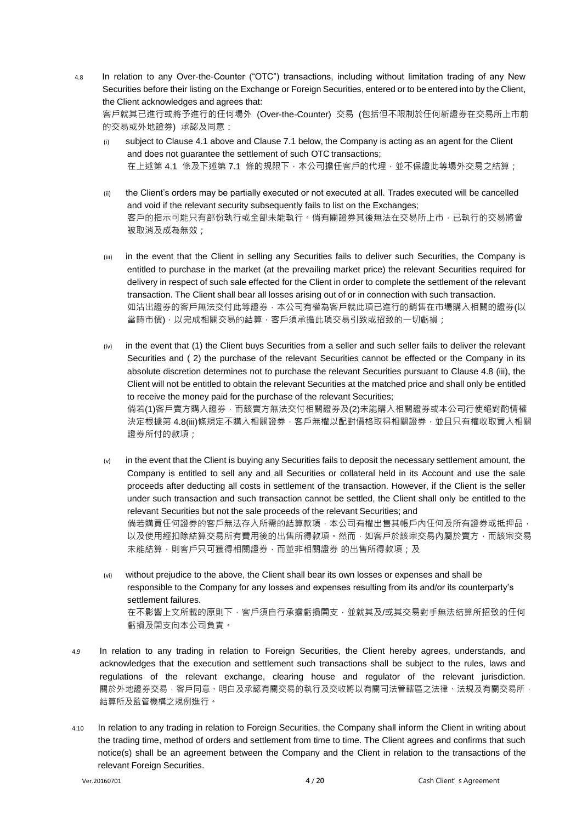4.8 In relation to any Over-the-Counter ("OTC") transactions, including without limitation trading of any New Securities before their listing on the Exchange or Foreign Securities, entered or to be entered into by the Client, the Client acknowledges and agrees that:

客戶就其已進行或將予進行的任何場外 (Over-the-Counter) 交易 (包括但不限制於任何新證券在交易所上市前 的交易或外地證券) 承認及同意:

- subject to Clause 4.1 above and Clause 7.1 below, the Company is acting as an agent for the Client and does not guarantee the settlement of such OTC transactions; 在上述第 4.1 條及下述第 7.1 條的規限下,本公司擔任客戶的代理,並不保證此等場外交易之結算;
- (ii) the Client's orders may be partially executed or not executed at all. Trades executed will be cancelled and void if the relevant security subsequently fails to list on the Exchanges; 客戶的指示可能只有部份執行或全部未能執行。倘有關證券其後無法在交易所上市,已執行的交易將會 被取消及成為無效;
- (iii) in the event that the Client in selling any Securities fails to deliver such Securities, the Company is entitled to purchase in the market (at the prevailing market price) the relevant Securities required for delivery in respect of such sale effected for the Client in order to complete the settlement of the relevant transaction. The Client shall bear all losses arising out of or in connection with such transaction. 如沽出證券的客戶無法交付此等證券,本公司有權為客戶就此項已進行的銷售在市場購入相關的證券(以 當時市價),以完成相關交易的結算,客戶須承擔此項交易引致或招致的一切虧損;
- $(iv)$  in the event that (1) the Client buys Securities from a seller and such seller fails to deliver the relevant Securities and (2) the purchase of the relevant Securities cannot be effected or the Company in its absolute discretion determines not to purchase the relevant Securities pursuant to Clause 4.8 (iii), the Client will not be entitled to obtain the relevant Securities at the matched price and shall only be entitled to receive the money paid for the purchase of the relevant Securities; 倘若(1)客戶賣方購入證券 · 而該賣方無法交付相關證券及(2)未能購入相關證券或本公司行使絕對酌情權 決定根據第 4.8(iii)條規定不購入相關證券,客戶無權以配對價格取得相關證券,並且只有權收取買入相關 證券所付的款項;
- $(v)$  in the event that the Client is buying any Securities fails to deposit the necessary settlement amount, the Company is entitled to sell any and all Securities or collateral held in its Account and use the sale proceeds after deducting all costs in settlement of the transaction. However, if the Client is the seller under such transaction and such transaction cannot be settled, the Client shall only be entitled to the relevant Securities but not the sale proceeds of the relevant Securities; and 倘若購買任何證券的客戶無法存入所需的結算款項,本公司有權出售其帳戶內任何及所有證券或抵押品, 以及使用經扣除結算交易所有費用後的出售所得款項。然而,如客戶於該宗交易內屬於賣方,而該宗交易 未能結算,則客戶只可獲得相關證券,而並非相關證券 的出售所得款項;及
- (vi) without prejudice to the above, the Client shall bear its own losses or expenses and shall be responsible to the Company for any losses and expenses resulting from its and/or its counterparty's settlement failures. 在不影響上文所載的原則下,客戶須自行承擔虧損閧支,並就其及/或其交易對手無法結算所招致的任何 虧損及開支向本公司負責。
- 4.9 In relation to any trading in relation to Foreign Securities, the Client hereby agrees, understands, and acknowledges that the execution and settlement such transactions shall be subject to the rules, laws and regulations of the relevant exchange, clearing house and regulator of the relevant jurisdiction. 關於外地證券交易,客戶同意、明白及承認有關交易的執行及交收將以有關司法管轄區之法律、法規及有關交易所, 結算所及監管機構之規例進行。
- 4.10 In relation to any trading in relation to Foreign Securities, the Company shall inform the Client in writing about the trading time, method of orders and settlement from time to time. The Client agrees and confirms that such notice(s) shall be an agreement between the Company and the Client in relation to the transactions of the relevant Foreign Securities.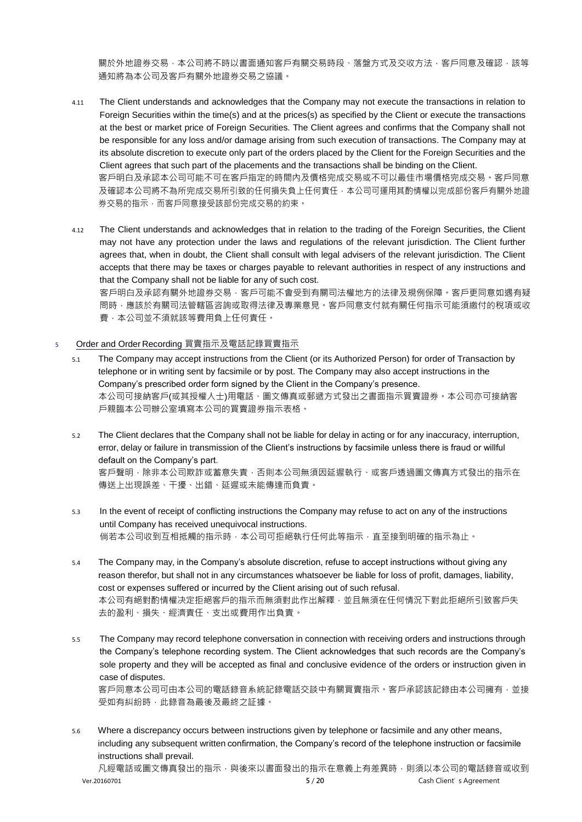關於外地證券交易,本公司將不時以書面通知客戶有關交易時段、落盤方式及交收方法,客戶同意及確認,該等 通知將為本公司及客戶有關外地證券交易之協議。

- 4.11 The Client understands and acknowledges that the Company may not execute the transactions in relation to Foreign Securities within the time(s) and at the prices(s) as specified by the Client or execute the transactions at the best or market price of Foreign Securities. The Client agrees and confirms that the Company shall not be responsible for any loss and/or damage arising from such execution of transactions. The Company may at its absolute discretion to execute only part of the orders placed by the Client for the Foreign Securities and the Client agrees that such part of the placements and the transactions shall be binding on the Client. 客戶明白及承認本公司可能不可在客戶指定的時間內及價格完成交易或不可以最佳市場價格完成交易。客戶同意 及確認本公司將不為所完成交易所引致的任何損失負上任何責任,本公司可運用其酌情權以完成部份客戶有關外地證 券交易的指示,而客戶同意接受該部份完成交易的約束。
- 4.12 The Client understands and acknowledges that in relation to the trading of the Foreign Securities, the Client may not have any protection under the laws and regulations of the relevant jurisdiction. The Client further agrees that, when in doubt, the Client shall consult with legal advisers of the relevant jurisdiction. The Client accepts that there may be taxes or charges payable to relevant authorities in respect of any instructions and that the Company shall not be liable for any of such cost. 客戶明白及承認有關外地證券交易,客戶可能不會受到有關司法權地方的法律及規例保障。客戶更同意如遇有疑

問時,應該於有關司法管轄區咨詢或限得法律及專業意見。客戶同意支付就有關任何指示可能須繳付的稅項或收 費,本公司並不須就該等費用負上任何責任。

#### 5 Order and Order Recording 買賣指示及電話記錄買賣指示

- 5.1 The Company may accept instructions from the Client (or its Authorized Person) for order of Transaction by telephone or in writing sent by facsimile or by post. The Company may also accept instructions in the Company's prescribed order form signed by the Client in the Company's presence. 本公司可接納客戶(或其授權人士)用電話、圖文傳真或郵遞方式發出之書面指示買賣證券。本公司亦可接納客 戶親臨本公司辦公室填寫本公司的買賣證券指示表格。
- 5.2 The Client declares that the Company shall not be liable for delay in acting or for any inaccuracy, interruption, error, delay or failure in transmission of the Client's instructions by facsimile unless there is fraud or willful default on the Company's part. 客戶聲明,除非本公司欺詐或蓄意失責,否則本公司無須因延遲執行、或客戶透過圖文傳真方式發出的指示在 傳送上出現誤差、干擾、出錯、延遲或未能傳達而負責。
- 5.3 In the event of receipt of conflicting instructions the Company may refuse to act on any of the instructions until Company has received unequivocal instructions. 倘若本公司收到互相抵觸的指示時,本公司可拒絕執行任何此等指示,直至接到明確的指示為止。
- 5.4 The Company may, in the Company's absolute discretion, refuse to accept instructions without giving any reason therefor, but shall not in any circumstances whatsoever be liable for loss of profit, damages, liability, cost or expenses suffered or incurred by the Client arising out of such refusal. 本公司有絕對酌情權决定拒絕客戶的指示而無須對此作出解釋,並且無須在任何情況下對此拒絕所引致客戶失 去的盈利、損失、經濟責任、支出或費用作出負責。
- 5.5 The Company may record telephone conversation in connection with receiving orders and instructions through the Company's telephone recording system. The Client acknowledges that such records are the Company's sole property and they will be accepted as final and conclusive evidence of the orders or instruction given in case of disputes. 客戶同意本公司可由本公司的電話錄音系統記錄電話交談中有關買賣指示。客戶承認該記錄由本公司擁有,並接 受如有糾紛時,此錄音為最後及最終之証據。
- 5.6 Where a discrepancy occurs between instructions given by telephone or facsimile and any other means, including any subsequent written confirmation, the Company's record of the telephone instruction or facsimile instructions shall prevail.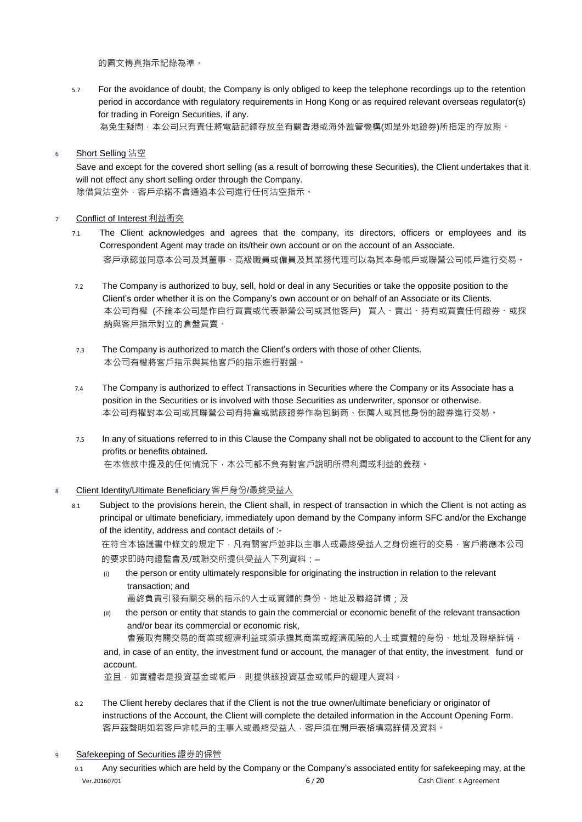的圖文傳真指示記錄為準。

- 5.7 For the avoidance of doubt, the Company is only obliged to keep the telephone recordings up to the retention period in accordance with regulatory requirements in Hong Kong or as required relevant overseas regulator(s) for trading in Foreign Securities, if any.
	- 為免生疑問,本公司只有責任將電話記錄存放至有關香港或海外監管機構(如是外地證券)所指定的存放期。

#### 6 Short Selling 沽空

Save and except for the covered short selling (as a result of borrowing these Securities), the Client undertakes that it will not effect any short selling order through the Company. 除借貨沽空外,客戶承諾不會通過本公司進行任何沽空指示。

#### 7 Conflict of Interest 利益衝突

- 7.1 The Client acknowledges and agrees that the company, its directors, officers or employees and its Correspondent Agent may trade on its/their own account or on the account of an Associate. 客戶承認並同意本公司及其董事、高級職員或僱員及其業務代理可以為其本身帳戶或聯營公司帳戶進行交易。
- 7.2 The Company is authorized to buy, sell, hold or deal in any Securities or take the opposite position to the Client's order whether it is on the Company's own account or on behalf of an Associate or its Clients. 本公司有權 (不論本公司是作自行買賣或代表聯營公司或其他客戶) 買入、賣出、持有或買賣任何證券、或採 納與客戶指示對立的倉盤買賣。
- 7.3 The Company is authorized to match the Client's orders with those of other Clients. 本公司有權將客戶指示與其他客戶的指示進行對盤。
- 7.4 The Company is authorized to effect Transactions in Securities where the Company or its Associate has a position in the Securities or is involved with those Securities as underwriter, sponsor or otherwise. 本公司有權對本公司或其聯營公司有持倉或就該證券作為包銷商、保薦人或其他身份的證券進行交易。
- 7.5 In any of situations referred to in this Clause the Company shall not be obligated to account to the Client for any profits or benefits obtained. 在本條款中提及的任何情況下,本公司都不負有對客戶說明所得利潤或利益的義務。
- <sup>8</sup> Client Identity/Ultimate Beneficiary 客戶身份/最終受益人
	- 8.1 Subject to the provisions herein, the Client shall, in respect of transaction in which the Client is not acting as principal or ultimate beneficiary, immediately upon demand by the Company inform SFC and/or the Exchange of the identity, address and contact details of :-

在符合本協議書中條文的規定下,凡有關客戶並非以主事人或最終受益人之身份進行的交易,客戶將應本公司 的要求即時向證監會及/或聯交所提供受益人下列資料:–

- (i) the person or entity ultimately responsible for originating the instruction in relation to the relevant transaction; and 最終負責引發有關交易的指示的人士或實體的身份、地址及聯絡詳情;及
- (ii) the person or entity that stands to gain the commercial or economic benefit of the relevant transaction and/or bear its commercial or economic risk,

會獲取有關交易的商業或經濟利益或須承擔其商業或經濟風險的人士或實體的身份、地址及聯絡詳情,

and, in case of an entity, the investment fund or account, the manager of that entity, the investment fund or account.

並且,如實體者是投資基金或帳戶,則提供該投資基金或帳戶的經理人資料。

8.2 The Client hereby declares that if the Client is not the true owner/ultimate beneficiary or originator of instructions of the Account, the Client will complete the detailed information in the Account Opening Form. 客戶茲聲明如若客戶非帳戶的主事人或最終受益人,客戶須在開戶表格填寫詳情及資料。

9 Safekeeping of Securities 證券的保管

Ver.20160701 **<sup>6</sup>** / **<sup>20</sup>**Cash Client's Agreement 9.1 Any securities which are held by the Company or the Company's associated entity for safekeeping may, at the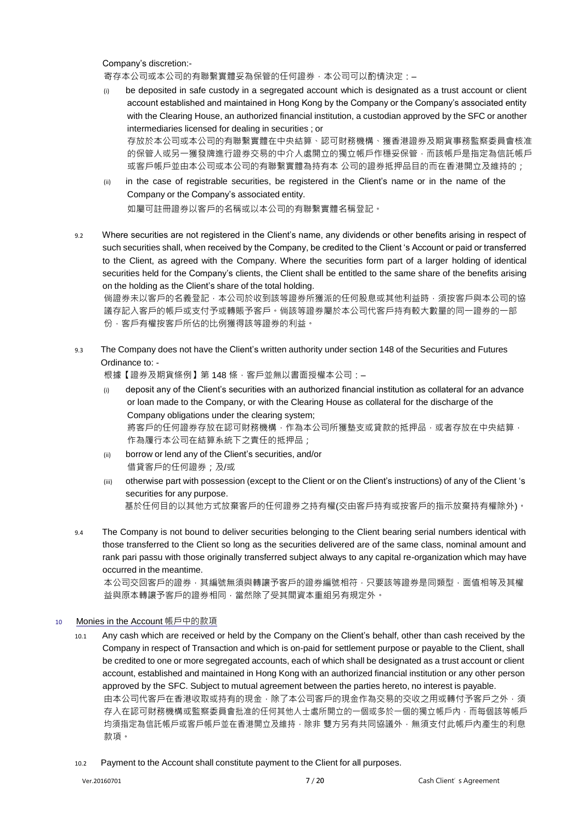Company's discretion:-

寄存本公司或本公司的有聯繫實體妥為保管的任何證券,本公司可以酌情決定: -

- (i) be deposited in safe custody in a segregated account which is designated as a trust account or client account established and maintained in Hong Kong by the Company or the Company's associated entity with the Clearing House, an authorized financial institution, a custodian approved by the SFC or another intermediaries licensed for dealing in securities ; or 存放於本公司或本公司的有聯繫實體在中央結算、認可財務機構、獲香港證券及期貨事務監察委員會核准 的保管人或另一獲發牌進行證券交易的中介人處開立的獨立帳戶作穩妥保管,而該帳戶是指定為信託帳戶 或客戶帳戶並由本公司或本公司的有聯繫實體為持有本 公司的證券抵押品目的而在香港開立及維持的;
- (ii) in the case of registrable securities, be registered in the Client's name or in the name of the Company or the Company's associated entity. 如屬可註冊證券以客戶的名稱或以本公司的有聯繫實體名稱登記。
- 9.2 Where securities are not registered in the Client's name, any dividends or other benefits arising in respect of such securities shall, when received by the Company, be credited to the Client 's Account or paid or transferred to the Client, as agreed with the Company. Where the securities form part of a larger holding of identical securities held for the Company's clients, the Client shall be entitled to the same share of the benefits arising on the holding as the Client's share of the total holding.

倘證券未以客戶的名義登記,本公司於收到該等證券所獲派的任何股息或其他利益時,須按客戶與本公司的協 議存記入客戶的帳戶或支付予或轉賬予客戶。倘該等證券屬於本公司代客戶持有較大數量的同一證券的一部 份,客戶有權按客戶所佔的比例獲得該等證券的利益。

9.3 The Company does not have the Client's written authority under section 148 of the Securities and Futures Ordinance to: -

根據【證券及期貨條例】第 148 條,客戶並無以書面授權本公司:—

- (i) deposit any of the Client's securities with an authorized financial institution as collateral for an advance or loan made to the Company, or with the Clearing House as collateral for the discharge of the Company obligations under the clearing system; 將客戶的任何證券存放在認可財務機構,作為本公司所獲墊支或貸款的抵押品,或者存放在中央結算, 作為履行本公司在結算系統下之責任的抵押品;
- (ii) borrow or lend any of the Client's securities, and/or 借貸客戶的任何證券;及/或
- (iii) otherwise part with possession (except to the Client or on the Client's instructions) of any of the Client 's securities for any purpose. 基於任何目的以其他方式放棄客戶的任何證券之持有權(交由客戶持有或按客戶的指示放棄持有權除外)。
- 9.4 The Company is not bound to deliver securities belonging to the Client bearing serial numbers identical with those transferred to the Client so long as the securities delivered are of the same class, nominal amount and rank pari passu with those originally transferred subject always to any capital re-organization which may have occurred in the meantime.

本公司交回客戶的證券,其編號無須與轉讓予客戶的證券編號相符,只要該等證券是同類型,面值相等及其權 益與原本轉讓予客戶的證券相同,當然除了受其間資本重組另有規定外。

#### 10 Monies in the Account 帳戶中的款項

- 10.1 Any cash which are received or held by the Company on the Client's behalf, other than cash received by the Company in respect of Transaction and which is on-paid for settlement purpose or payable to the Client, shall be credited to one or more segregated accounts, each of which shall be designated as a trust account or client account, established and maintained in Hong Kong with an authorized financial institution or any other person approved by the SFC. Subject to mutual agreement between the parties hereto, no interest is payable. 由本公司代客戶在香港收取或持有的現金,除了本公司客戶的現金作為交易的交收之用或轉付予客戶之外,須 存入在認可財務機構或監察委員會批准的任何其他人士處所開立的一個或多於一個的獨立帳戶內,而每個該等帳戶 均須指定為信託帳戶或客戶帳戶並在香港開立及維持,除非 雙方另有共同協議外,無須支付此帳戶內產生的利息 款項。
	- 10.2 Payment to the Account shall constitute payment to the Client for all purposes.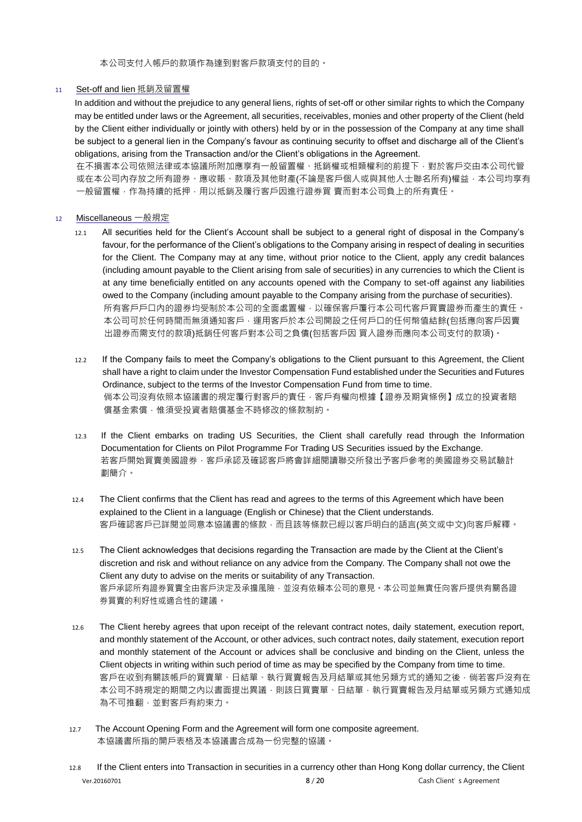本公司支付入帳戶的款項作為達到對客戶款項支付的目的。

### <sup>11</sup> Set-off and lien 抵銷及留置權

In addition and without the prejudice to any general liens, rights of set-off or other similar rights to which the Company may be entitled under laws or the Agreement, all securities, receivables, monies and other property of the Client (held by the Client either individually or jointly with others) held by or in the possession of the Company at any time shall be subject to a general lien in the Company's favour as continuing security to offset and discharge all of the Client's obligations, arising from the Transaction and/or the Client's obligations in the Agreement.

在不損害本公司依照法律或本協議所附加應享有一般留置權、抵銷權或相類權利的前提下,對於客戶交由本公司代管 或在本公司内存放之所有證券、應收賬、款項及其他財產(不論是客戶個人或與其他人士聯名所有)權益,本公司均享有 一般留置權,作為持續的抵押,用以抵銷及履行客戶因進行證券買 賣而對本公司負上的所有責任。

## <sup>12</sup> Miscellaneous 一般規定

- 12.1 All securities held for the Client's Account shall be subject to a general right of disposal in the Company's favour, for the performance of the Client's obligations to the Company arising in respect of dealing in securities for the Client. The Company may at any time, without prior notice to the Client, apply any credit balances (including amount payable to the Client arising from sale of securities) in any currencies to which the Client is at any time beneficially entitled on any accounts opened with the Company to set-off against any liabilities owed to the Company (including amount payable to the Company arising from the purchase of securities). 所有客戶戶口內的證券均受制於本公司的全面處置權,以確保客戶覆行本公司代客戶買賣證券而產生的責任。 本公司可於任何時間而無須通知客戶,運用客戶於本公司開設之任何戶口的任何幣值結餘(包括應向客戶因賣 出證券而需支付的款項)抵銷任何客戶對本公司之負債(包括客戶因 買入證券而應向本公司支付的款項)。
- 12.2 If the Company fails to meet the Company's obligations to the Client pursuant to this Agreement, the Client shall have a right to claim under the Investor Compensation Fund established under the Securities and Futures Ordinance, subject to the terms of the Investor Compensation Fund from time to time. 倘本公司沒有依照本協議書的規定覆行對客戶的責任,客戶有權向根據【證券及期貨條例】成立的投資者賠 償基金索償,惟須受投資者賠償基金不時修改的條款制約。
- 12.3 If the Client embarks on trading US Securities, the Client shall carefully read through the Information Documentation for Clients on Pilot Programme For Trading US Securities issued by the Exchange. 若客戶開始買賣美國證券﹐客戶承認及確認客戶將會詳細閱讀聯交所發出予客戶參考的美國證券交易試驗計 劃簡介。
- 12.4 The Client confirms that the Client has read and agrees to the terms of this Agreement which have been explained to the Client in a language (English or Chinese) that the Client understands. 客戶確認客戶已詳閱並同意本協議書的條款,而且該等條款已經以客戶明白的語言(英文或中文)向客戶解釋。
- 12.5 The Client acknowledges that decisions regarding the Transaction are made by the Client at the Client's discretion and risk and without reliance on any advice from the Company. The Company shall not owe the Client any duty to advise on the merits or suitability of any Transaction. 客戶承認所有證券買賣全由客戶決定及承擔風險,並沒有依賴本公司的意見。本公司並無責任向客戶提供有關各證 券買賣的利好性或適合性的建議。
- 12.6 The Client hereby agrees that upon receipt of the relevant contract notes, daily statement, execution report, and monthly statement of the Account, or other advices, such contract notes, daily statement, execution report and monthly statement of the Account or advices shall be conclusive and binding on the Client, unless the Client objects in writing within such period of time as may be specified by the Company from time to time. 客戶在收到有關該帳戶的買賣單、日結單、執行買賣報告及月結單或其他另類方式的通知之後,倘若客戶沒有在 本公司不時規定的期間之內以書面提出異議,則該日買賣單、日結單,執行買賣報告及月結單或另類方式通知成 為不可推翻,並對客戶有約束力。
- 12.7 The Account Opening Form and the Agreement will form one composite agreement. 本協議書所指的開戶表格及本協議書合成為一份完整的協議。

Ver.20160701 **<sup>8</sup>** / **<sup>20</sup>**Cash Client's Agreement 12.8 If the Client enters into Transaction in securities in a currency other than Hong Kong dollar currency, the Client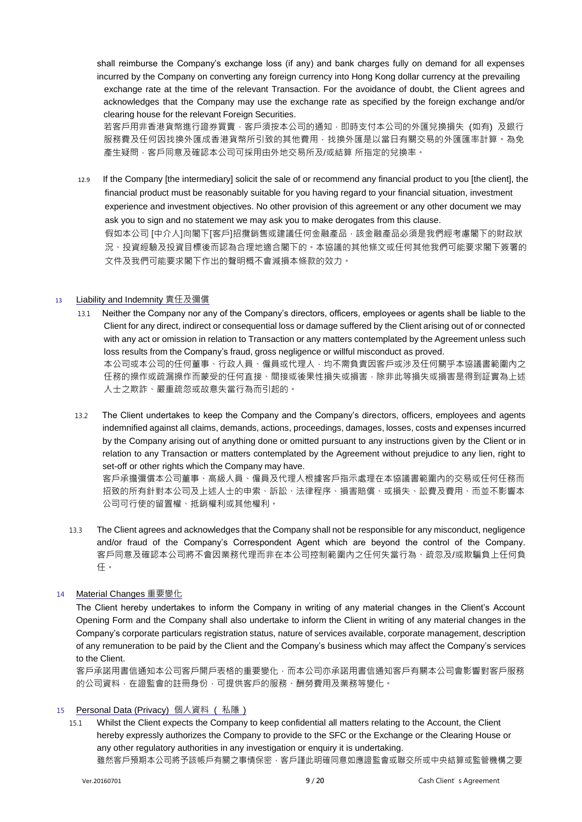shall reimburse the Company's exchange loss (if any) and bank charges fully on demand for all expenses incurred by the Company on converting any foreign currency into Hong Kong dollar currency at the prevailing exchange rate at the time of the relevant Transaction. For the avoidance of doubt, the Client agrees and acknowledges that the Company may use the exchange rate as specified by the foreign exchange and/or clearing house for the relevant Foreign Securities.

若客戶用非香港貨幣進行證券買賣,客戶須按本公司的通知,即時支付本公司的外匯兌換損失 (如有) 及銀行 服務費及任何因找換外匯成香港貨幣所引致的其他費用,找換外匯是以當日有關交易的外匯匯率計算。為免 產生疑問 · 客戶同意及確認本公司可採用由外地交易所及/或結算 所指定的兌換率 ·

 12.9 If the Company [the intermediary] solicit the sale of or recommend any financial product to you [the client], the financial product must be reasonably suitable for you having regard to your financial situation, investment experience and investment objectives. No other provision of this agreement or any other document we may ask you to sign and no statement we may ask you to make derogates from this clause. 假如本公司 [中介人]向閣下[客戶]招攬銷售或建議任何金融產品, 該金融產品必須是我們經考慮閣下的財政狀 況、投資經驗及投資目標後而認為合理地適合閣下的。本協議的其他條文或任何其他我們可能要求閣下簽署的

文件及我們可能要求閣下作出的聲明概不會減損本條款的效力。

#### <sup>13</sup> Liability and Indemnity 責任及彌償

- 13.1 Neither the Company nor any of the Company's directors, officers, employees or agents shall be liable to the Client for any direct, indirect or consequential loss or damage suffered by the Client arising out of or connected with any act or omission in relation to Transaction or any matters contemplated by the Agreement unless such loss results from the Company's fraud, gross negligence or willful misconduct as proved. 本公司或本公司的任何董事、行政人員、僱員或代理人,均不需負責因客戶或涉及任何關乎本協議書範圍內之 任務的操作或疏漏操作而蒙受的任何直接、間接或後果性損失或損害,除非此等損失或損害是得到証實為上述 人士之欺詐、嚴重疏忽或故意失當行為而引起的。
- 13.2 The Client undertakes to keep the Company and the Company's directors, officers, employees and agents indemnified against all claims, demands, actions, proceedings, damages, losses, costs and expenses incurred by the Company arising out of anything done or omitted pursuant to any instructions given by the Client or in relation to any Transaction or matters contemplated by the Agreement without prejudice to any lien, right to set-off or other rights which the Company may have.

客戶承擔彌償本公司董事、高級人員、僱員及代理人根據客戶指示處理在本協議書範圍內的交易或任何任務而 招致的所有針對本公司及上述人士的申索、訴訟、法律程序、損害賠償、或損失、訟費及費用、而並不影響本 公司可行使的留置權、抵銷權利或其他權利。

13.3 The Client agrees and acknowledges that the Company shall not be responsible for any misconduct, negligence and/or fraud of the Company's Correspondent Agent which are beyond the control of the Company. 客戶同意及確認本公司將不會因業務代理而非在本公司控制範圍內之任何失當行為、疏忽及/或欺騙負上任何負 任。

## <sup>14</sup> Material Changes 重要變化

The Client hereby undertakes to inform the Company in writing of any material changes in the Client's Account Opening Form and the Company shall also undertake to inform the Client in writing of any material changes in the Company's corporate particulars registration status, nature of services available, corporate management, description of any remuneration to be paid by the Client and the Company's business which may affect the Company's services to the Client.

客戶承諾用書信通知本公司客戶開戶表格的重要變化,而本公司亦承諾用書信通知客戶有關本公司會影響對客戶服務 的公司資料,在證監會的註冊身份,可提供客戶的服務、酬勞費用及業務等變化。

## 15 Personal Data (Privacy) 個人資料 (私隱)

15.1 Whilst the Client expects the Company to keep confidential all matters relating to the Account, the Client hereby expressly authorizes the Company to provide to the SFC or the Exchange or the Clearing House or any other regulatory authorities in any investigation or enquiry it is undertaking. 雖然客戶預期本公司將予該帳戶有關之事情保密‧客戶謹此明確同意如應證監會或聯交所或中央結算或監管機構之要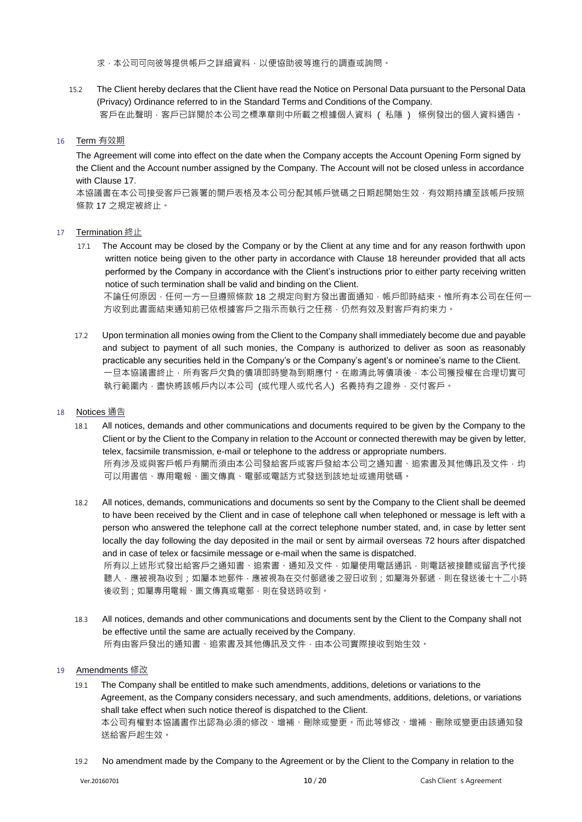求,本公司可向彼等提供帳戶之詳細資料,以便協助彼等進行的調查或詢問。

15.2 The Client hereby declares that the Client have read the Notice on Personal Data pursuant to the Personal Data (Privacy) Ordinance referred to in the Standard Terms and Conditions of the Company. 客戶在此聲明,客戶已詳閱於本公司之標準章則中所載之根據個人資料 ( 私隱 ) 條例發出的個人資料通告。

## 16 Term 有效期

The Agreement will come into effect on the date when the Company accepts the Account Opening Form signed by the Client and the Account number assigned by the Company. The Account will not be closed unless in accordance with Clause 17.

本協議書在本公司接受客戶已簽署的開戶表格及本公司分配其帳戶號碼之日期起開始生效,有效期持續至該帳戶按照 條款 17 之規定被終止。

## <sup>17</sup> Termination 終止

- 17.1 The Account may be closed by the Company or by the Client at any time and for any reason forthwith upon written notice being given to the other party in accordance with Clause 18 hereunder provided that all acts performed by the Company in accordance with the Client's instructions prior to either party receiving written notice of such termination shall be valid and binding on the Client. 不論任何原因,任何一方一旦遵照條款 18 之規定向對方發出書面通知,帳戶即時結束。惟所有本公司在任何一 方收到此書面結束通知前已依根據客戶之指示而執行之任務,仍然有效及對客戶有約束力。
- 17.2 Upon termination all monies owing from the Client to the Company shall immediately become due and payable and subject to payment of all such monies, the Company is authorized to deliver as soon as reasonably practicable any securities held in the Company's or the Company's agent's or nominee's name to the Client. 一旦本協議書終止,所有客戶欠負的債項即時變為到期應付。在繳清此等債項後,本公司獲授權在合理切實可 執行範圍內 · 盡快將該帳戶內以本公司 (或代理人或代名人) 名義持有之證券 · 交付客戶 ·

#### <sup>18</sup> Notices 通告

- 18.1 All notices, demands and other communications and documents required to be given by the Company to the Client or by the Client to the Company in relation to the Account or connected therewith may be given by letter, telex, facsimile transmission, e-mail or telephone to the address or appropriate numbers. 所有涉及或與客戶帳戶有關而須由本公司發給客戶或客戶發給本公司之通知書、追索書及其他傳訊及文件,均 可以用書信、專用電報、圖文傳真、電郵或電話方式發送到該地址或適用號碼。
- 18.2 All notices, demands, communications and documents so sent by the Company to the Client shall be deemed to have been received by the Client and in case of telephone call when telephoned or message is left with a person who answered the telephone call at the correct telephone number stated, and, in case by letter sent locally the day following the day deposited in the mail or sent by airmail overseas 72 hours after dispatched and in case of telex or facsimile message or e-mail when the same is dispatched. 所有以上述形式發出給客戶之通知書、追索書、通知及文件,如屬使用電話通訊,則電話被接聽或留言予代接 聽人,應被視為收到;如屬本地郵件,應被視為在交付郵遞後之翌日收到;如屬海外郵遞,則在發送後七十二小時
- 後收到;如屬專用電報、圖文傳真或電郵,則在發送時收到。 18.3 All notices, demands and other communications and documents sent by the Client to the Company shall not be effective until the same are actually received by the Company.

所有由客戶發出的通知書、追索書及其他傳訊及文件,由本公司實際接收到始生效。

## <sup>19</sup> Amendments 修改

- 19.1 The Company shall be entitled to make such amendments, additions, deletions or variations to the Agreement, as the Company considers necessary, and such amendments, additions, deletions, or variations shall take effect when such notice thereof is dispatched to the Client. 本公司有權對本協議書作出認為必須的修改、增補、刪除或變更。而此等修改、增補、刪除或變更由該通知發 送給客戶起生效。
- 19.2 No amendment made by the Company to the Agreement or by the Client to the Company in relation to the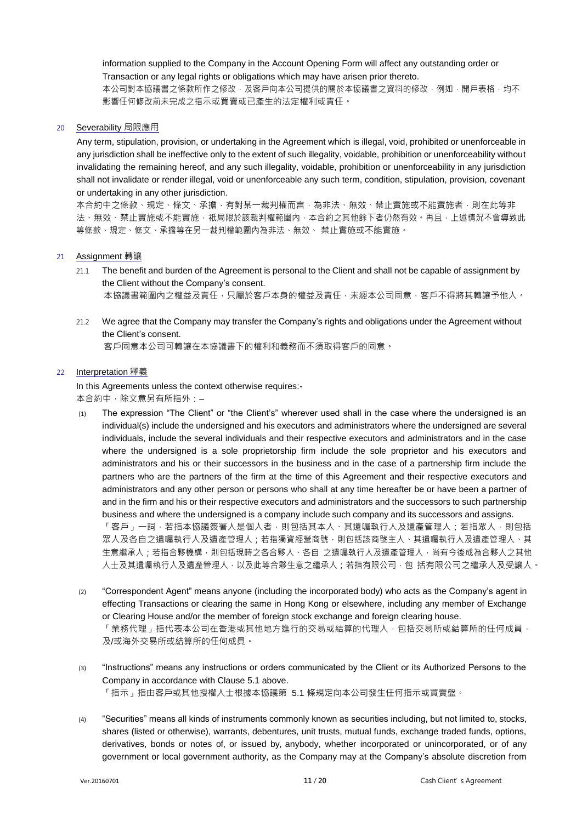information supplied to the Company in the Account Opening Form will affect any outstanding order or Transaction or any legal rights or obligations which may have arisen prior thereto. 本公司對本協議書之條款所作之修改,及客戶向本公司提供的關於本協議書之資料的修改,例如,開戶表格,均不 影響任何修改前未完成之指示或買賣或已產生的法定權利或責任。

#### <sup>20</sup> Severability 局限應用

Any term, stipulation, provision, or undertaking in the Agreement which is illegal, void, prohibited or unenforceable in any jurisdiction shall be ineffective only to the extent of such illegality, voidable, prohibition or unenforceability without invalidating the remaining hereof, and any such illegality, voidable, prohibition or unenforceability in any jurisdiction shall not invalidate or render illegal, void or unenforceable any such term, condition, stipulation, provision, covenant or undertaking in any other jurisdiction.

本合約中之條款、規定、條文、承擔,有對某一裁判權而言,為非法、無效、禁止實施或不能實施者,則在此等非 法、無效、禁止實施或不能實施,祇局限於該裁判權範圍內,本合約之其他餘下者仍然有效。再且,上述情況不會導致此 等條款、規定、條文、承擔等在另一裁判權範圍內為非法、無效、 禁止實施或不能實施。

- <sup>21</sup> Assignment 轉讓
	- 21.1 The benefit and burden of the Agreement is personal to the Client and shall not be capable of assignment by the Client without the Company's consent. 本協議書範圍內之權益及責任,只屬於客戶本身的權益及責任,未經本公司同意,客戶不得將其轉讓予他人。
	- 21.2 We agree that the Company may transfer the Company's rights and obligations under the Agreement without the Client's consent.

客戶同意本公司可轉讓在本協議書下的權利和義務而不須取得客戶的同意。

#### <sup>22</sup> Interpretation 釋義

In this Agreements unless the context otherwise requires:-本合約中,除文意另有所指外:–

- (1) The expression "The Client" or "the Client's" wherever used shall in the case where the undersigned is an individual(s) include the undersigned and his executors and administrators where the undersigned are several individuals, include the several individuals and their respective executors and administrators and in the case where the undersigned is a sole proprietorship firm include the sole proprietor and his executors and administrators and his or their successors in the business and in the case of a partnership firm include the partners who are the partners of the firm at the time of this Agreement and their respective executors and administrators and any other person or persons who shall at any time hereafter be or have been a partner of and in the firm and his or their respective executors and administrators and the successors to such partnership business and where the undersigned is a company include such company and its successors and assigns. 「客戶」一詞,若指本協議簽署人是個人者,則包括其本人、其遺囑執行人及遺產管理人;若指眾人,則包括 眾人及各自之遺囑執行人及遺產管理人;若指獨資經營商號,則包括該商號主人、其遺囑執行人及遺產管理人、其 生意繼承人;若指合夥機構,則包括現時之各合夥人、各自 之遺囑執行人及遺產管理人,尚有今後成為合夥人之其他 人士及其遺囑執行人及遺產管理人,以及此等合夥生意之繼承人;若指有限公司,包 括有限公司之繼承人及受讓人。
- (2) "Correspondent Agent" means anyone (including the incorporated body) who acts as the Company's agent in effecting Transactions or clearing the same in Hong Kong or elsewhere, including any member of Exchange or Clearing House and/or the member of foreign stock exchange and foreign clearing house. 「業務代理」指代表本公司在香港或其他地方進行的交易或結算的代理人,包括交易所或結算所的任何成員, 及/或海外交易所或結算所的任何成員。
- (3) "Instructions" means any instructions or orders communicated by the Client or its Authorized Persons to the Company in accordance with Clause 5.1 above. 「指示」指由客戶或其他授權人士根據本協議第 5.1 條規定向本公司發生任何指示或買賣盤。
- (4) "Securities" means all kinds of instruments commonly known as securities including, but not limited to, stocks, shares (listed or otherwise), warrants, debentures, unit trusts, mutual funds, exchange traded funds, options, derivatives, bonds or notes of, or issued by, anybody, whether incorporated or unincorporated, or of any government or local government authority, as the Company may at the Company's absolute discretion from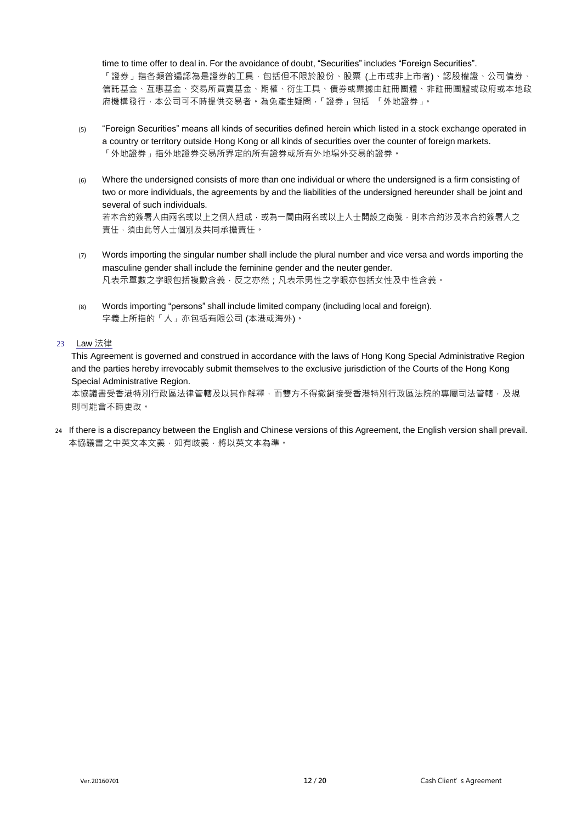time to time offer to deal in. For the avoidance of doubt, "Securities" includes "Foreign Securities". 「證券」指各類普遍認為是證券的工具 · 包括但不限於股份、股票 (上市或非上市者)、認股權證、公司債券、 信託基金、互惠基金、交易所買賣基金、期權、衍生工具、債券或票據由註冊團體、非註冊團體或政府或本地政 府機構發行,本公司可不時提供交易者。為免產生疑問,「證券」包括 「外地證券」。

- (5) "Foreign Securities" means all kinds of securities defined herein which listed in a stock exchange operated in a country or territory outside Hong Kong or all kinds of securities over the counter of foreign markets. 「外地證券」指外地證券交易所界定的所有證券或所有外地場外交易的證券。
- (6) Where the undersigned consists of more than one individual or where the undersigned is a firm consisting of two or more individuals, the agreements by and the liabilities of the undersigned hereunder shall be joint and several of such individuals. 若本合約簽署人由兩名或以上之個人組成,或為一間由兩名或以上人士開設之商號,則本合約涉及本合約簽署人之 責任,須由此等人士個別及共同承擔責任。
- (7) Words importing the singular number shall include the plural number and vice versa and words importing the masculine gender shall include the feminine gender and the neuter gender. 凡表示單數之字眼包括複數含義,反之亦然;凡表示男性之字眼亦包括女性及中性含義。
- (8) Words importing "persons" shall include limited company (including local and foreign). 字義上所指的「人」亦包括有限公司 (本港或海外)。

## <sup>23</sup> Law 法律

This Agreement is governed and construed in accordance with the laws of Hong Kong Special Administrative Region and the parties hereby irrevocably submit themselves to the exclusive jurisdiction of the Courts of the Hong Kong Special Administrative Region.

本協議書受香港特別行政區法律管轄及以其作解釋,而雙方不得撤銷接受香港特別行政區法院的專屬司法管轄,及規 則可能會不時更改。

24 If there is a discrepancy between the English and Chinese versions of this Agreement, the English version shall prevail. 本協議書之中英文本文義,如有歧義,將以英文本為準。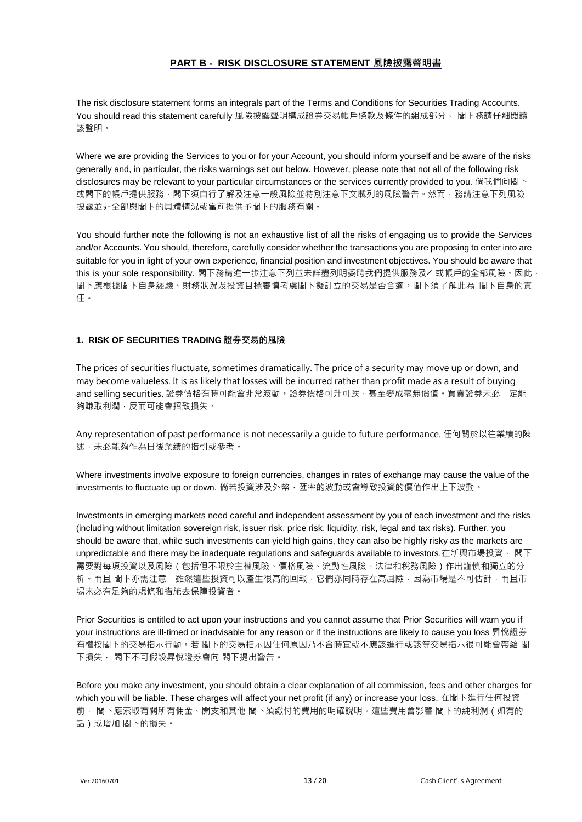## **PART B - RISK DISCLOSURE STATEMENT 風險披露聲明書**

The risk disclosure statement forms an integrals part of the Terms and Conditions for Securities Trading Accounts. You should read this statement carefully 風險披露聲明構成證券交易帳戶條款及條件的組成部分。 閣下務請仔細閱讀 該聲明。

Where we are providing the Services to you or for your Account, you should inform yourself and be aware of the risks generally and, in particular, the risks warnings set out below. However, please note that not all of the following risk disclosures may be relevant to your particular circumstances or the services currently provided to you. 倘我們向閣下 或閣下的帳戶提供服務,閣下須自行了解及注意一般風險並特別注意下文載列的風險警告。然而,務請注意下列風險 披露並非全部與閣下的具體情況或當前提供予閣下的服務有關。

You should further note the following is not an exhaustive list of all the risks of engaging us to provide the Services and/or Accounts. You should, therefore, carefully consider whether the transactions you are proposing to enter into are suitable for you in light of your own experience, financial position and investment objectives. You should be aware that this is your sole responsibility. 閣下務請進一步注意下列並未詳盡列明委聘我們提供服務及ノ或帳戶的全部風險。因此, 閣下應根據閣下自身經驗、財務狀況及投資目標審慎考慮閣下擬訂立的交易是否合適。閣下須了解此為 閣下自身的責 任。

## **1. RISK OF SECURITIES TRADING 證券交易的風險**

The prices of securities fluctuate, sometimes dramatically. The price of a security may move up or down, and may become valueless. It is as likely that losses will be incurred rather than profit made as a result of buying and selling securities. 證券價格有時可能會非常波動。證券價格可升可跌,甚至變成毫無價值。買賣證券未必一定能 夠賺取利潤,反而可能會招致損失。

Any representation of past performance is not necessarily a guide to future performance. 任何關於以往業績的陳 述,未必能夠作為日後業績的指引或參考。

Where investments involve exposure to foreign currencies, changes in rates of exchange may cause the value of the investments to fluctuate up or down. 倘若投資涉及外幣, 匯率的波動或會導致投資的價值作出上下波動。

Investments in emerging markets need careful and independent assessment by you of each investment and the risks (including without limitation sovereign risk, issuer risk, price risk, liquidity, risk, legal and tax risks). Further, you should be aware that, while such investments can yield high gains, they can also be highly risky as the markets are unpredictable and there may be inadequate regulations and safeguards available to investors.在新興市場投資, 閣下 需要對每項投資以及風險(包括但不限於主權風險、價格風險、流動性風險、法律和稅務風險)作出謹慎和獨立的分 析。而且 閣下亦需注意,雖然這些投資可以產生很高的回報,它們亦同時存在高風險,因為市場是不可估計,而且市 場未必有足夠的規條和措施去保障投資者。

Prior Securities is entitled to act upon your instructions and you cannot assume that Prior Securities will warn you if your instructions are ill-timed or inadvisable for any reason or if the instructions are likely to cause you loss 昇悅證券 有權按閣下的交易指示行動。若 閣下的交易指示因任何原因乃不合時宜或不應該進行或該等交易指示很可能會帶給 閣 下損失, 閣下不可假設昇悅證券會向 閣下提出警告。

Before you make any investment, you should obtain a clear explanation of all commission, fees and other charges for which you will be liable. These charges will affect your net profit (if any) or increase your loss. 在閣下進行任何投資 前, 閣下應索取有關所有佣金、開支和其他 閣下須繳付的費用的明確說明。這些費用會影響 閣下的純利潤 ( 如有的 話)或增加 閣下的損失。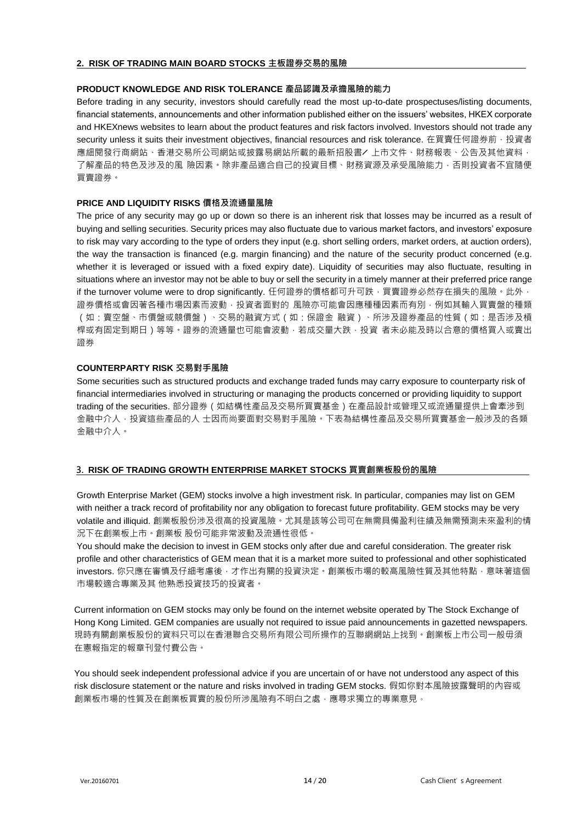#### **2. RISK OF TRADING MAIN BOARD STOCKS 主板證券交易的風險**

## **PRODUCT KNOWLEDGE AND RISK TOLERANCE 產品認識及承擔風險的能力**

Before trading in any security, investors should carefully read the most up-to-date prospectuses/listing documents, financial statements, announcements and other information published either on the issuers' websites, HKEX corporate and HKEXnews websites to learn about the product features and risk factors involved. Investors should not trade any security unless it suits their investment objectives, financial resources and risk tolerance. 在買賣任何證券前, 投資者 應細閱發行商網站、香港交易所公司網站或披露易網站所載的最新招股書╱ 上市文件、財務報表、公告及其他資料, 了解產品的特色及涉及的風 險因素。除非產品適合自己的投資目標、財務資源及承受風險能力,否則投資者不宜隨便 買賣證券。

## **PRICE AND LIQUIDITY RISKS 價格及流通量風險**

The price of any security may go up or down so there is an inherent risk that losses may be incurred as a result of buying and selling securities. Security prices may also fluctuate due to various market factors, and investors' exposure to risk may vary according to the type of orders they input (e.g. short selling orders, market orders, at auction orders), the way the transaction is financed (e.g. margin financing) and the nature of the security product concerned (e.g. whether it is leveraged or issued with a fixed expiry date). Liquidity of securities may also fluctuate, resulting in situations where an investor may not be able to buy or sell the security in a timely manner at their preferred price range if the turnover volume were to drop significantly. 任何證券的價格都可升可跌, 買賣證券必然存在損失的風險。此外, 證券價格或會因著各種市場因素而波動,投資者面對的 風險亦可能會因應種種因素而有別,例如其輸入買賣盤的種類 (如:賣空盤、市價盤或競價盤)、交易的融資方式(如:保證金 融資)、所涉及證券產品的性質(如:是否涉及槓 桿或有固定到期日)等等。證券的流通量也可能會波動,若成交量大跌,投資 者未必能及時以合意的價格買入或賣出 證券

## **COUNTERPARTY RISK 交易對手風險**

Some securities such as structured products and exchange traded funds may carry exposure to counterparty risk of financial intermediaries involved in structuring or managing the products concerned or providing liquidity to support trading of the securities. 部分證券(如結構性產品及交易所買賣基金)在產品設計或管理又或流通量提供上會牽涉到 金融中介人 · 投資這些產品的人 士因而尚要面對交易對手風險。下表為結構性產品及交易所買賣基金一般涉及的各類 金融中介人。

## **3. RISK OF TRADING GROWTH ENTERPRISE MARKET STOCKS 買賣創業板股份的風險**

Growth Enterprise Market (GEM) stocks involve a high investment risk. In particular, companies may list on GEM with neither a track record of profitability nor any obligation to forecast future profitability. GEM stocks may be very volatile and illiquid. 創業板股份涉及很高的投資風險。尤其是該等公司可在無需具備盈利往績及無需預測未來盈利的情 況下在創業板上市。創業板 股份可能非常波動及流通性很低。

You should make the decision to invest in GEM stocks only after due and careful consideration. The greater risk profile and other characteristics of GEM mean that it is a market more suited to professional and other sophisticated investors. 你只應在審慎及仔細考慮後, 才作出有關的投資決定。創業板市場的較高風險性質及其他特點, 意味著這個 市場較適合專業及其 他熟悉投資技巧的投資者。

Current information on GEM stocks may only be found on the internet website operated by The Stock Exchange of Hong Kong Limited. GEM companies are usually not required to issue paid announcements in gazetted newspapers. 現時有關創業板股份的資料只可以在香港聯合交易所有限公司所操作的互聯網網站上找到。創業板上市公司一般毋須 在憲報指定的報章刊登付費公告。

You should seek independent professional advice if you are uncertain of or have not understood any aspect of this risk disclosure statement or the nature and risks involved in trading GEM stocks. 假如你對本風險披露聲明的內容或 創業板市場的性質及在創業板買賣的股份所涉風險有不明白之處,應尋求獨立的專業意見。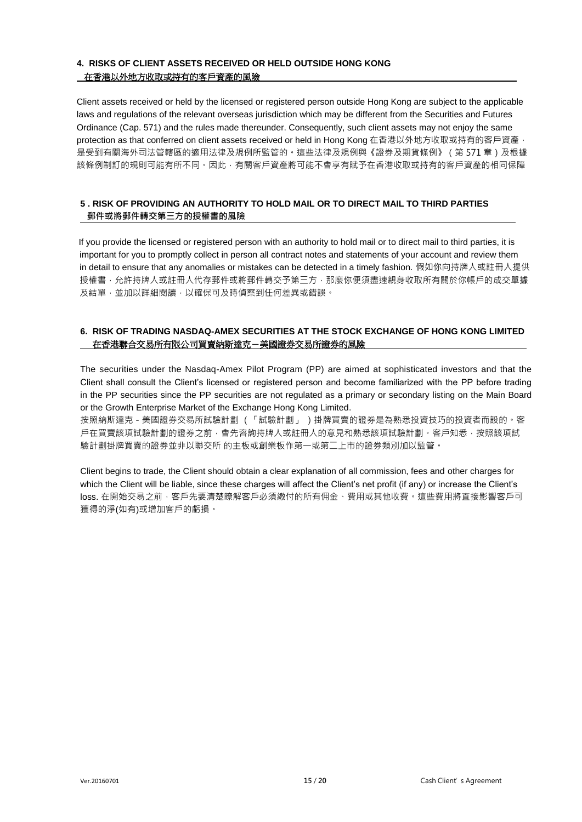## **4. RISKS OF CLIENT ASSETS RECEIVED OR HELD OUTSIDE HONG KONG** 在香港以外地方收取或持有的客戶資產的風險

Client assets received or held by the licensed or registered person outside Hong Kong are subject to the applicable laws and regulations of the relevant overseas jurisdiction which may be different from the Securities and Futures Ordinance (Cap. 571) and the rules made thereunder. Consequently, such client assets may not enjoy the same protection as that conferred on client assets received or held in Hong Kong 在香港以外地方收取或持有的客戶資產, 是受到有關海外司法管轄區的適用法律及規例所監管的。這些法律及規例與《證券及期貨條例》 ( 第 571 章 ) 及根據 該條例制訂的規則可能有所不同。因此,有關客戶資產將可能不會享有賦予在香港收取或持有的客戶資產的相同保障

## **5 . RISK OF PROVIDING AN AUTHORITY TO HOLD MAIL OR TO DIRECT MAIL TO THIRD PARTIES 郵件或將郵件轉交第三方的授權書的風險**

 If you provide the licensed or registered person with an authority to hold mail or to direct mail to third parties, it is important for you to promptly collect in person all contract notes and statements of your account and review them in detail to ensure that any anomalies or mistakes can be detected in a timely fashion. 假如你向持牌人或註冊人提供 授權書,允許持牌人或註冊人代存郵件或將郵件轉交予第三方,那麼你便須盡速親身收取所有關於你帳戶的成交單據 及結單,並加以詳細閱讀,以確保可及時偵察到任何差異或錯誤。

## **6. RISK OF TRADING NASDAQ-AMEX SECURITIES AT THE STOCK EXCHANGE OF HONG KONG LIMITED** 在香港聯合交易所有限公司買賣納斯達克-美國證券交易所證券的風險

The securities under the Nasdaq-Amex Pilot Program (PP) are aimed at sophisticated investors and that the Client shall consult the Client's licensed or registered person and become familiarized with the PP before trading in the PP securities since the PP securities are not regulated as a primary or secondary listing on the Main Board or the Growth Enterprise Market of the Exchange Hong Kong Limited.

按照納斯達克-美國證券交易所試驗計劃 (「試驗計劃」 )掛牌買賣的證券是為熟悉投資技巧的投資者而設的。客 戸在買賣該項試驗計劃的證券之前,會先咨詢持牌人或註冊人的意見和熟悉該項試驗計劃。客戶知悉,按照該項試 驗計劃掛牌買賣的證券並非以聯交所 的主板或創業板作第一或第二上市的證券類別加以監管。

Client begins to trade, the Client should obtain a clear explanation of all commission, fees and other charges for which the Client will be liable, since these charges will affect the Client's net profit (if any) or increase the Client's loss. 在開始交易之前,客戶先要清楚瞭解客戶必須繳付的所有佣金、費用或其他收費。這些費用將直接影響客戶可 獲得的淨(如有)或增加客戶的虧損。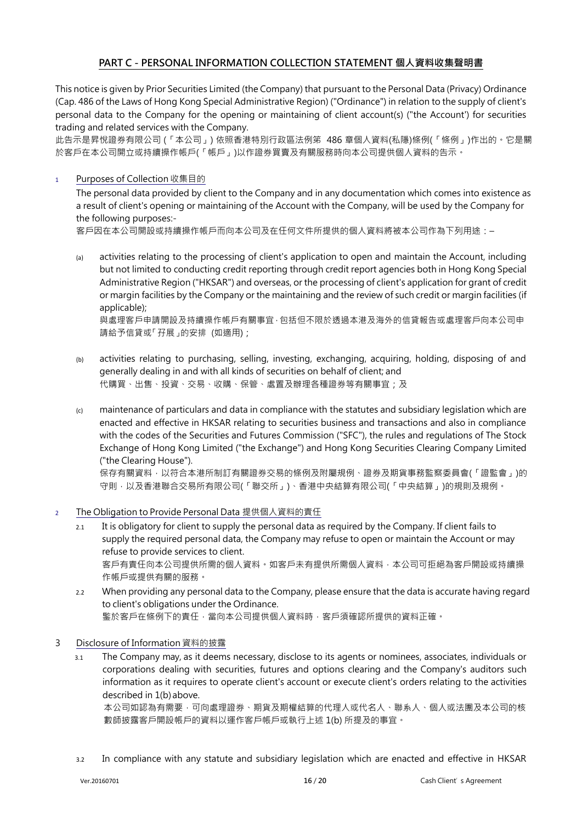## **PART C - PERSONAL INFORMATION COLLECTION STATEMENT 個人資料收集聲明書**

This notice is given by Prior Securities Limited (the Company) that pursuant to the Personal Data (Privacy) Ordinance (Cap. 486 of the Laws of Hong Kong Special Administrative Region) ("Ordinance") in relation to the supply of client's personal data to the Company for the opening or maintaining of client account(s) ("the Account') for securities trading and related services with the Company.

此告示是昇悅證券有限公司 (「本公司」) 依照香港特別行政區法例笫 486 章個人資料(私隱)條例(「條例」)作出的。它是關 於客戶在本公司開立或持續操作帳戶(「帳戶」)以作證券買賣及有關服務時向本公司提供個人資料的告示。

## <sup>1</sup> Purposes of Collection 收集目的

The personal data provided by client to the Company and in any documentation which comes into existence as a result of client's opening or maintaining of the Account with the Company, will be used by the Company for the following purposes:-

客戶因在本公司開設或持續操作帳戶而向本公司及在任何文件所提供的個人資料將被本公司作為下列用途:–

(a) activities relating to the processing of client's application to open and maintain the Account, including but not limited to conducting credit reporting through credit report agencies both in Hong Kong Special Administrative Region ("HKSAR") and overseas, or the processing of client's application for grant of credit or margin facilities by the Company or the maintaining and the review of such credit or margin facilities (if applicable);

與處理客戶申請開設及持續操作帳戶有關事宜,包括但不限於透過本港及海外的信貸報告或處理客戶向本公司申 請給予信貸或「孖展」的安排 (如適用);

- (b) activities relating to purchasing, selling, investing, exchanging, acquiring, holding, disposing of and generally dealing in and with all kinds of securities on behalf of client; and 代購買、出售、投資、交易、收購、保管、處置及辦理各種證券等有關事宜;及
- (c) maintenance of particulars and data in compliance with the statutes and subsidiary legislation which are enacted and effective in HKSAR relating to securities business and transactions and also in compliance with the codes of the Securities and Futures Commission ("SFC"), the rules and regulations of The Stock Exchange of Hong Kong Limited ("the Exchange") and Hong Kong Securities Clearing Company Limited ("the Clearing House").

保存有關資料 ・ 以符合本港所制訂有關證券交易的條例及附屬規例、證券及期貨事務監察委員會(「證監會」)的 守則,以及香港聯合交易所有限公司(「聯交所」)、香港中央結算有限公司(「中央結算」)的規則及規例。

## <sup>2</sup> The Obligation to Provide Personal Data 提供個人資料的責任

- 2.1 It is obligatory for client to supply the personal data as required by the Company. If client fails to supply the required personal data, the Company may refuse to open or maintain the Account or may refuse to provide services to client. 客戶有責任向本公司提供所需的個人資料。如客戶未有提供所需個人資料,本公司可拒絕為客戶開設或持續操 作帳戶或提供有關的服務。
- 2.2 When providing any personal data to the Company, please ensure that the data is accurate having regard to client's obligations under the Ordinance. 鍳於客戶在條例下的責任,當向本公司提供個人資料時,客戶須確認所提供的資料正確。
- 3 Disclosure of Information 資料的披露
	- 3.1 The Company may, as it deems necessary, disclose to its agents or nominees, associates, individuals or corporations dealing with securities, futures and options clearing and the Company's auditors such information as it requires to operate client's account or execute client's orders relating to the activities described in 1(b) above.

本公司如認為有需要,可向處理證券、期貨及期權結算的代理人或代名人、聯系人、個人或法團及本公司的核 數師披露客戶開設帳戶的資料以運作客戶帳戶或執行上述 1(b) 所提及的事宜。

3.2 In compliance with any statute and subsidiary legislation which are enacted and effective in HKSAR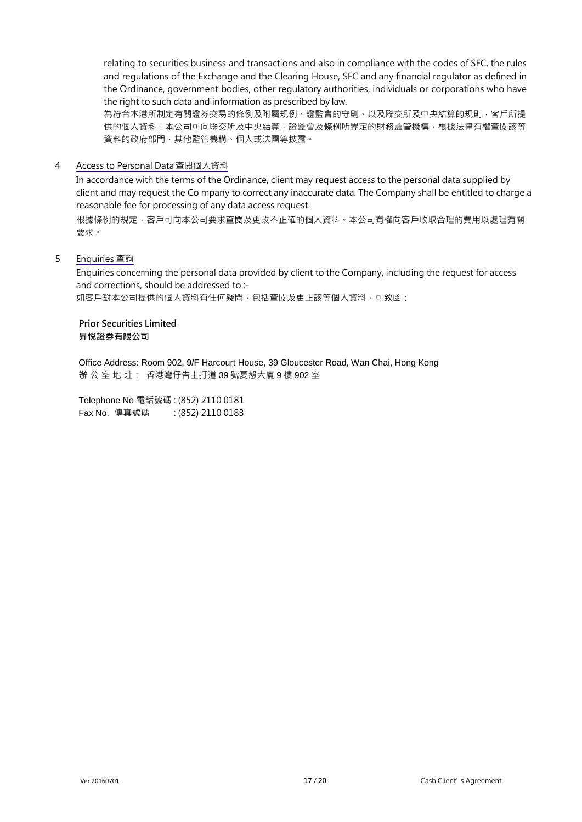relating to securities business and transactions and also in compliance with the codes of SFC, the rules and regulations of the Exchange and the Clearing House, SFC and any financial regulator as defined in the Ordinance, government bodies, other regulatory authorities, individuals or corporations who have the right to such data and information as prescribed by law.

為符合本港所制定有關證券交易的條例及附屬規例、證監會的守則、以及聯交所及中央結算的規則,客戶所提 供的個人資料,本公司可向聯交所及中央結算,證監會及條例所界定的財務監管機構,根據法律有權查閱該等 資料的政府部門,其他監管機構、個人或法團等披露。

## 4 Access to Personal Data查閱個人資料

In accordance with the terms of the Ordinance, client may request access to the personal data supplied by client and may request the Co mpany to correct any inaccurate data. The Company shall be entitled to charge a reasonable fee for processing of any data access request.

根據條例的規定,客戶可向本公司要求查閱及更改不正確的個人資料。本公司有權向客戶收取合理的費用以處理有關 要求。

## 5 Enquiries 查詢

Enquiries concerning the personal data provided by client to the Company, including the request for access and corrections, should be addressed to :-

如客戶對本公司提供的個人資料有任何疑問,包括查閱及更正該等個人資料,可致函:

## **Prior Securities Limited 昇悅證券有限公司**

Office Address: Room 902, 9/F Harcourt House, 39 Gloucester Road, Wan Chai, Hong Kong 辦 公 室 地 址: 香港灣仔告士打道 39 號夏慤大廈 9 樓 902 室

Telephone No 電話號碼 : (852) 2110 0181 Fax No. 傳真號碼 : (852) 2110 0183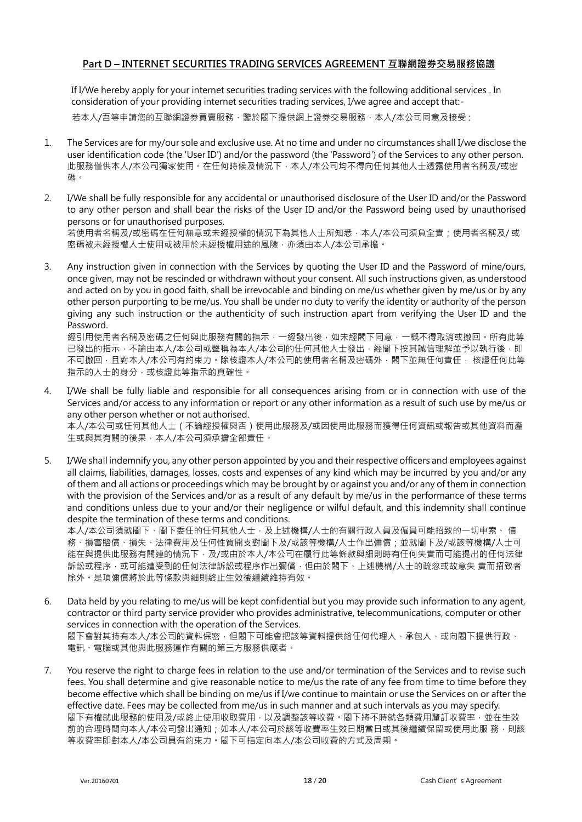## **Part D – INTERNET SECURITIES TRADING SERVICES AGREEMENT 互聯網證券交易服務協議**

If I/We hereby apply for your internet securities trading services with the following additional services . In consideration of your providing internet securities trading services, I/we agree and accept that:-

若本人/吾等申請您的互聯網證券買賣服務,鑒於閣下提供網上證券交易服務,本人/本公司同意及接受:

- 1. The Services are for my/our sole and exclusive use. At no time and under no circumstances shall I/we disclose the user identification code (the 'User ID') and/or the password (the 'Password') of the Services to any other person. 此服務僅供本人/本公司獨家使用。在任何時候及情況下,本人/本公司均不得向任何其他人士透露使用者名稱及/或密 碼。
- 2. I/We shall be fully responsible for any accidental or unauthorised disclosure of the User ID and/or the Password to any other person and shall bear the risks of the User ID and/or the Password being used by unauthorised persons or for unauthorised purposes. 若使用者名稱及/或密碼在任何無意或未經授權的情況下為其他人士所知悉,本人/本公司須負全責;使用者名稱及/ 或 密碼被未經授權人士使用或被用於未經授權用途的風險,亦須由本人/本公司承擔。
- 3. Any instruction given in connection with the Services by quoting the User ID and the Password of mine/ours, once given, may not be rescinded or withdrawn without your consent. All such instructions given, as understood and acted on by you in good faith, shall be irrevocable and binding on me/us whether given by me/us or by any other person purporting to be me/us. You shall be under no duty to verify the identity or authority of the person giving any such instruction or the authenticity of such instruction apart from verifying the User ID and the Password.

經引用使用者名稱及密碼之任何與此服務有關的指示,一經發出後,如未經閣下同意,一概不得取消或撤回。所有此等 已發出的指示,不論由本人/本公司或聲稱為本人/本公司的任何其他人士發出,經閣下按其誠信理解並予以執行後,即 不可撤回,且對本人/本公司有約束力。除核證本人/本公司的使用者名稱及密碼外,閣下並無任何責任, 核證任何此等 指示的人士的身分,或核證此等指示的真確性。

4. I/We shall be fully liable and responsible for all consequences arising from or in connection with use of the Services and/or access to any information or report or any other information as a result of such use by me/us or any other person whether or not authorised.

本人/本公司或任何其他人士(不論經授權與否)使用此服務及/或因使用此服務而獲得任何資訊或報告或其他資料而產 生或與其有關的後果,本人/本公司須承擔全部責任。

5. I/We shall indemnify you, any other person appointed by you and their respective officers and employees against all claims, liabilities, damages, losses, costs and expenses of any kind which may be incurred by you and/or any of them and all actions or proceedings which may be brought by or against you and/or any of them in connection with the provision of the Services and/or as a result of any default by me/us in the performance of these terms and conditions unless due to your and/or their negligence or wilful default, and this indemnity shall continue despite the termination of these terms and conditions.

本人/本公司須就閣下、閣下委任的任何其他人士,及上述機構/人士的有關行政人員及僱員可能招致的一切申索、 債 務、損害賠償、損失、法律費用及任何性質開支對閣下及/或該等機構/人士作出彌償;並就閣下及/或該等機構/人士可 能在與提供此服務有關連的情況下,及/或由於本人/本公司在履行此等條款與細則時有任何失責而可能提出的任何法律 訴訟或程序,或可能遭受到的任何法律訴訟或程序作出彌償,但由於閣下、上述機構/人士的疏忽或故意失 責而招致者 除外。是項彌償將於此等條款與細則終止生效後繼續維持有效。

- 6. Data held by you relating to me/us will be kept confidential but you may provide such information to any agent, contractor or third party service provider who provides administrative, telecommunications, computer or other services in connection with the operation of the Services. 閣下會對其持有本人/本公司的資料保密,但閣下可能會把該等資料提供給任何代理人、承包人、或向閣下提供行政、 電訊、電腦或其他與此服務運作有關的第三方服務供應者。
- 7. You reserve the right to charge fees in relation to the use and/or termination of the Services and to revise such fees. You shall determine and give reasonable notice to me/us the rate of any fee from time to time before they become effective which shall be binding on me/us if I/we continue to maintain or use the Services on or after the effective date. Fees may be collected from me/us in such manner and at such intervals as you may specify. 閣下有權就此服務的使用及/或終止使用收取費用,以及調整該等收費。閣下將不時就各類費用釐訂收費率,並在生效 前的合理時間向本人/本公司發出通知;如本人/本公司於該等收費率生效日期當日或其後繼續保留或使用此服 務,則該 等收費率即對本人/本公司具有約束力。閣下可指定向本人/本公司收費的方式及周期。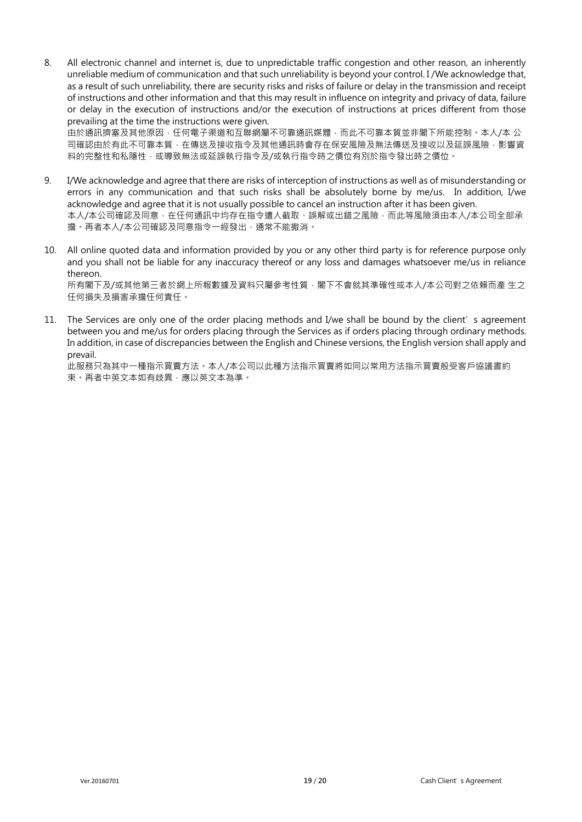8. All electronic channel and internet is, due to unpredictable traffic congestion and other reason, an inherently unreliable medium of communication and that such unreliability is beyond your control. I /We acknowledge that, as a result of such unreliability, there are security risks and risks of failure or delay in the transmission and receipt of instructions and other information and that this may result in influence on integrity and privacy of data, failure or delay in the execution of instructions and/or the execution of instructions at prices different from those prevailing at the time the instructions were given.

由於通訊擠塞及其他原因,任何電子渠道和互聯網屬不可靠通訊媒體,而此不可靠本質並非閣下所能控制。本人/本 公 司確認由於有此不可靠本質,在傳送及接收指令及其他通訊時會存在保安風險及無法傳送及接收以及延誤風險,影響資 料的完整性和私隱性,或導致無法或延誤執行指令及/或執行指令時之價位有別於指令發出時之價位。

- 9. I/We acknowledge and agree that there are risks of interception of instructions as well as of misunderstanding or errors in any communication and that such risks shall be absolutely borne by me/us. In addition, I/we acknowledge and agree that it is not usually possible to cancel an instruction after it has been given. 本人/本公司確認及同意,在任何通訊中均存在指令遭人截取、誤解或出錯之風險,而此等風險須由本人/本公司全部承 擔。再者本人/本公司確認及同意指令一經發出,通常不能撤消。
- 10. All online quoted data and information provided by you or any other third party is for reference purpose only and you shall not be liable for any inaccuracy thereof or any loss and damages whatsoever me/us in reliance thereon.

所有閣下及/或其他第三者於網上所報數據及資料只屬參考性質,閣下不會就其準確性或本人/本公司對之依賴而產 生之 任何損失及損害承擔任何責任。

11. The Services are only one of the order placing methods and I/we shall be bound by the client's agreement between you and me/us for orders placing through the Services as if orders placing through ordinary methods. In addition, in case of discrepancies between the English and Chinese versions, the English version shall apply and prevail.

此服務只為其中一種指示買賣方法。本人/本公司以此種方法指示買賣將如同以常用方法指示買賣般受客戶協議書約 束。再者中英文本如有歧異,應以英文本為準。